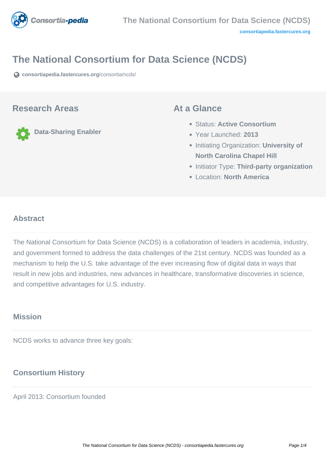

# **The National Consortium for Data Science (NCDS)**

**[consortiapedia.fastercures.org](https://consortiapedia.fastercures.org/consortia/ncds/)**[/consortia/ncds/](https://consortiapedia.fastercures.org/consortia/ncds/)

#### **Research Areas**

**Data-Sharing Enabler**

#### **At a Glance**

- Status: **Active Consortium**
- Year Launched: **2013**
- **Initiating Organization: University of North Carolina Chapel Hill**
- **Initiator Type: Third-party organization**
- Location: **North America**

#### $\overline{a}$ **Abstract**

The National Consortium for Data Science (NCDS) is a collaboration of leaders in academia, industry, and government formed to address the data challenges of the 21st century. NCDS was founded as a mechanism to help the U.S. take advantage of the ever increasing flow of digital data in ways that result in new jobs and industries, new advances in healthcare, transformative discoveries in science, and competitive advantages for U.S. industry.

## **Mission**

NCDS works to advance three key goals:

# **Consortium History**

April 2013: Consortium founded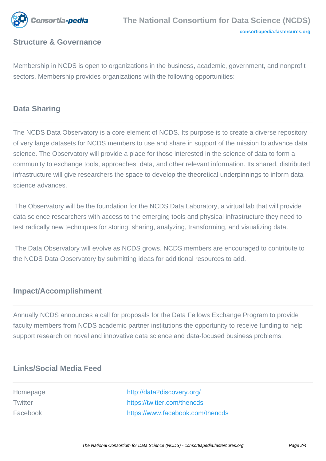

## **Structure & Governance**

Membership in NCDS is open to organizations in the business, academic, government, and nonprofit sectors. Membership provides organizations with the following opportunities:

## **Data Sharing**

The NCDS Data Observatory is a core element of NCDS. Its purpose is to create a diverse repository of very large datasets for NCDS members to use and share in support of the mission to advance data science. The Observatory will provide a place for those interested in the science of data to form a community to exchange tools, approaches, data, and other relevant information. Its shared, distributed infrastructure will give researchers the space to develop the theoretical underpinnings to inform data science advances.

 The Observatory will be the foundation for the NCDS Data Laboratory, a virtual lab that will provide data science researchers with access to the emerging tools and physical infrastructure they need to test radically new techniques for storing, sharing, analyzing, transforming, and visualizing data.

 The Data Observatory will evolve as NCDS grows. NCDS members are encouraged to contribute to the NCDS Data Observatory by submitting ideas for additional resources to add.

#### **Impact/Accomplishment**

Annually NCDS announces a call for proposals for the Data Fellows Exchange Program to provide faculty members from NCDS academic partner institutions the opportunity to receive funding to help support research on novel and innovative data science and data-focused business problems.

#### **Links/Social Media Feed**

Homepage <http://data2discovery.org/> Twitter **<https://twitter.com/thencds>** Facebook <https://www.facebook.com/thencds>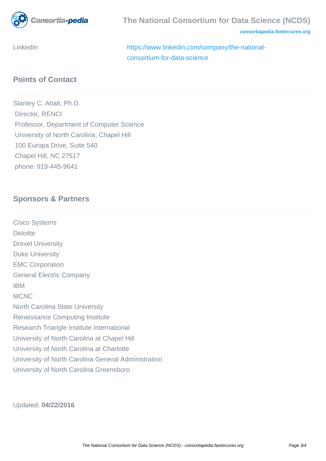

**[consortiapedia.fastercures.org](http://consortiapedia.fastercures.org/)**

LinkedIn [https://www.linkedin.com/company/the-national](https://www.linkedin.com/company/the-national-consortium-for-data-science)[consortium-for-data-science](https://www.linkedin.com/company/the-national-consortium-for-data-science)

# **Points of Contact**

Stanley C. Ahalt, Ph.D. Director, RENCI Professor, Department of Computer Science University of North Carolina, Chapel Hill 100 Europa Drive, Suite 540 Chapel Hill, NC 27517 phone: 919-445-9641

# **Sponsors & Partners**

Cisco Systems **Deloitte** Drexel University Duke University EMC Corporation General Electric Company IBM **MCNC** North Carolina State University Renaissance Computing Institute Research Triangle Institute International University of North Carolina at Chapel Hill University of North Carolina at Charlotte University of North Carolina General Administration University of North Carolina Greensboro

Updated: **04/22/2016**